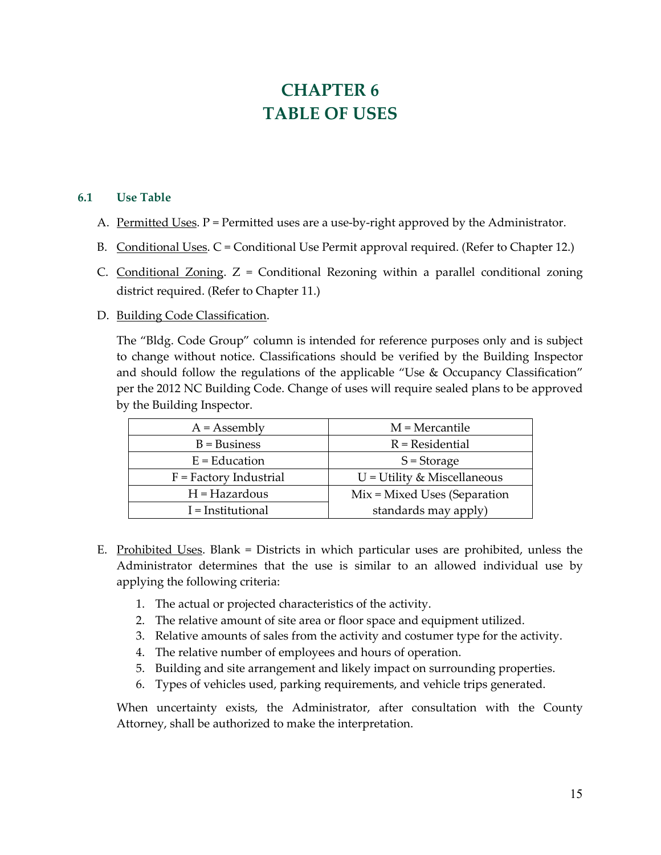## **CHAPTER 6 TABLE OF USES**

## **6.1 Use Table**

- A. Permitted Uses.  $P =$  Permitted uses are a use-by-right approved by the Administrator.
- B. Conditional Uses. C = Conditional Use Permit approval required. (Refer to Chapter 12.)
- C. Conditional Zoning.  $Z =$  Conditional Rezoning within a parallel conditional zoning district required. (Refer to Chapter 11.)
- D. Building Code Classification.

The "Bldg. Code Group" column is intended for reference purposes only and is subject to change without notice. Classifications should be verified by the Building Inspector and should follow the regulations of the applicable "Use & Occupancy Classification" per the 2012 NC Building Code. Change of uses will require sealed plans to be approved by the Building Inspector.

| $A =$ Assembly           | $M =$ Mercantile              |
|--------------------------|-------------------------------|
| $B = Business$           | $R$ = Residential             |
| $E = Education$          | $S = Storage$                 |
| $F = Factory$ Industrial | $U =$ Utility & Miscellaneous |
| $H = Hazardous$          | Mix = Mixed Uses (Separation  |
| I = Institutional        | standards may apply)          |

- E. Prohibited Uses. Blank = Districts in which particular uses are prohibited, unless the Administrator determines that the use is similar to an allowed individual use by applying the following criteria:
	- 1. The actual or projected characteristics of the activity.
	- 2. The relative amount of site area or floor space and equipment utilized.
	- 3. Relative amounts of sales from the activity and costumer type for the activity.
	- 4. The relative number of employees and hours of operation.
	- 5. Building and site arrangement and likely impact on surrounding properties.
	- 6. Types of vehicles used, parking requirements, and vehicle trips generated.

When uncertainty exists, the Administrator, after consultation with the County Attorney, shall be authorized to make the interpretation.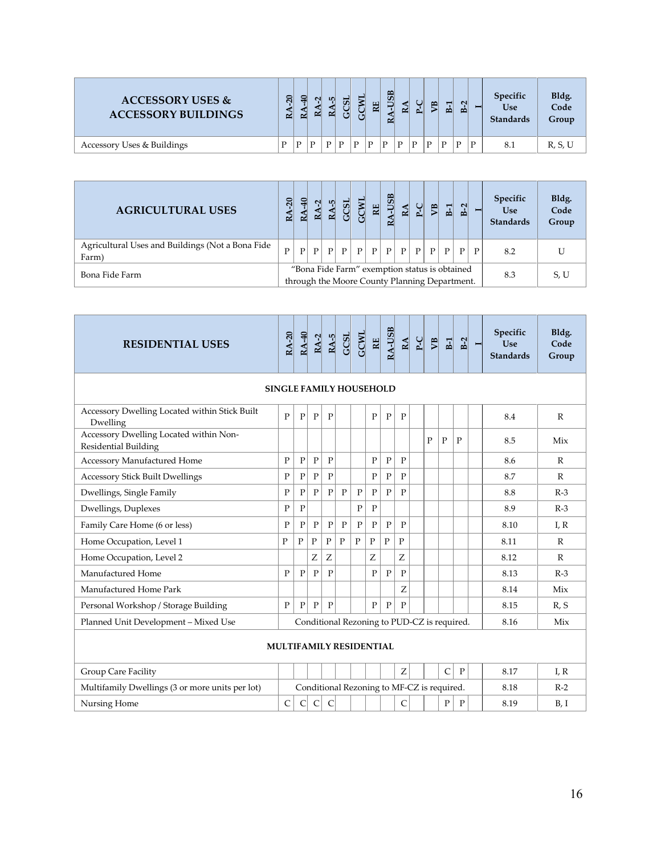| <b>ACCESSORY USES &amp;</b><br><b>ACCESSORY BUILDINGS</b> | $\overline{20}$<br>$\approx$ | =<br>≃ | $\sim$<br>≃ | <b>LO</b><br>≃ | T Fil |   | ш<br>≃ | $\frac{1}{2}$<br>≃ | ≃ | $\sim$ | <b>SP</b> | $\blacksquare$<br>ه | $\mathbf{N}$<br>P |   | Specific<br>Use<br><b>Standards</b> | Bldg.<br>Code<br>Group |
|-----------------------------------------------------------|------------------------------|--------|-------------|----------------|-------|---|--------|--------------------|---|--------|-----------|---------------------|-------------------|---|-------------------------------------|------------------------|
| Accessory Uses & Buildings                                | D                            | P      | D           | D              | D     | D | D      | D                  | P | D      | D         | $\mathbf{D}$        | D                 | D | 8.1                                 | R, S, U                |

| <b>AGRICULTURAL USES</b>                                   | 20<br>≃ | ≃            | ≃            | L۵<br>$\sim$ | Ū                                                                                              | ျှ           | 띦            | -USB<br>≃    | $\mathbf{E}$ | ں<br>ط       | 몡 | $\mathbf{E}$ | $B-2$ |   | Specific<br><b>Use</b><br><b>Standards</b> | Bldg.<br>Code<br>Group |
|------------------------------------------------------------|---------|--------------|--------------|--------------|------------------------------------------------------------------------------------------------|--------------|--------------|--------------|--------------|--------------|---|--------------|-------|---|--------------------------------------------|------------------------|
| Agricultural Uses and Buildings (Not a Bona Fide)<br>Farm) | D       | $\mathbf{P}$ | $\mathbf{P}$ | P            | P                                                                                              | $\mathbf{P}$ | $\mathbf{P}$ | $\mathbf{P}$ | P            | $\mathbb{P}$ | P | $\mathbf{P}$ | P     | D | 8.2                                        |                        |
| Bona Fide Farm                                             |         |              |              |              | "Bona Fide Farm" exemption status is obtained<br>through the Moore County Planning Department. |              |              |              |              |              |   |              |       |   | 8.3                                        | S, U                   |

| <b>RESIDENTIAL USES</b>                                        | <b>RA-20</b>                   | <b>RA-40</b> | $RA-2$       | $RA-5$         | GCSL         | <b>GCWL</b>  | <u>El</u>    | <b>RA-USB</b> | $\underline{\mathbf{A}}$ | $P-C$                                       | $\mathbb{Z}$ | E1             | $B-2$        | Ī | Specific<br><b>Use</b><br><b>Standards</b> | Bldg.<br>Code<br>Group |
|----------------------------------------------------------------|--------------------------------|--------------|--------------|----------------|--------------|--------------|--------------|---------------|--------------------------|---------------------------------------------|--------------|----------------|--------------|---|--------------------------------------------|------------------------|
|                                                                | <b>SINGLE FAMILY HOUSEHOLD</b> |              |              |                |              |              |              |               |                          |                                             |              |                |              |   |                                            |                        |
| Accessory Dwelling Located within Stick Built<br>Dwelling      | $\mathbf{P}$                   | $\mathbf{P}$ | $\mathbf{P}$ | $\mathbf{P}$   |              |              | $\mathbf{P}$ | $\mathbf{P}$  | $\mathbf{P}$             |                                             |              |                |              |   | 8.4                                        | $\mathbb{R}$           |
| Accessory Dwelling Located within Non-<br>Residential Building |                                |              |              |                |              |              |              |               |                          |                                             | P            | $\mathbf P$    | $\mathbf{P}$ |   | 8.5                                        | Mix                    |
| Accessory Manufactured Home                                    | $\mathbf{P}$                   | $\mathbf{P}$ | $\mathbf{P}$ | $\overline{P}$ |              |              | P            | $\mathbf{P}$  | $\mathbf{P}$             |                                             |              |                |              |   | 8.6                                        | $\mathbb{R}$           |
| <b>Accessory Stick Built Dwellings</b>                         | $\mathbf{P}$                   | $\mathbf{P}$ | $\mathbf{P}$ | $\mathbf{P}$   |              |              | $\mathbf{P}$ | $\mathbf{P}$  | $\mathbf{P}$             |                                             |              |                |              |   | 8.7                                        | $\mathbb{R}$           |
| Dwellings, Single Family                                       | $\mathbf{P}$                   | $\mathbf{P}$ | $\mathbf{P}$ | $\mathbf{P}$   | $\mathbf{P}$ | $\mathbf{P}$ | $\mathbf{P}$ | $\mathbf{P}$  | $\mathbf{P}$             |                                             |              |                |              |   | 8.8                                        | $R-3$                  |
| Dwellings, Duplexes                                            | $\mathbf{P}$                   | $\mathbf{P}$ |              |                |              | $\mathbf{P}$ | $\mathbf{P}$ |               |                          |                                             |              |                |              |   | 8.9                                        | $R-3$                  |
| Family Care Home (6 or less)                                   | $\mathbf{P}$                   | $\mathbf{P}$ | $\mathbf{P}$ | $\mathbf{P}$   | $\mathbf{P}$ | $\mathbf{P}$ | $\mathbf{P}$ | $\mathbf{P}$  | $\mathbf{P}$             |                                             |              |                |              |   | 8.10                                       | I, R                   |
| Home Occupation, Level 1                                       | P                              | $\mathbf{P}$ | $\mathbf{P}$ | $\mathbf{P}$   | $\mathbf{P}$ | $\mathbf{P}$ | $\mathbf{P}$ | P             | P                        |                                             |              |                |              |   | 8.11                                       | $\mathbb{R}$           |
| Home Occupation, Level 2                                       |                                |              | Z            | Z              |              |              | Z            |               | Z                        |                                             |              |                |              |   | 8.12                                       | $\mathbb{R}$           |
| Manufactured Home                                              | $\mathbf{P}$                   | $\mathbf{P}$ | $\mathbf{P}$ | $\mathbf{P}$   |              |              | $\mathbf{P}$ | $\mathbf{P}$  | $\mathbf{P}$             |                                             |              |                |              |   | 8.13                                       | $R-3$                  |
| Manufactured Home Park                                         |                                |              |              |                |              |              |              |               | Z                        |                                             |              |                |              |   | 8.14                                       | Mix                    |
| Personal Workshop / Storage Building                           | $\mathbf{P}$                   | $\mathbf{P}$ | $\mathbf{P}$ | $\mathbf{P}$   |              |              | $\mathbf{P}$ | $\mathbf{P}$  | $\mathbf{P}$             |                                             |              |                |              |   | 8.15                                       | R, S                   |
| Planned Unit Development - Mixed Use                           |                                |              |              |                |              |              |              |               |                          | Conditional Rezoning to PUD-CZ is required. |              |                |              |   | 8.16                                       | Mix                    |
|                                                                | <b>MULTIFAMILY RESIDENTIAL</b> |              |              |                |              |              |              |               |                          |                                             |              |                |              |   |                                            |                        |
| <b>Group Care Facility</b>                                     |                                |              |              |                |              |              |              |               | Z                        |                                             |              | $\overline{C}$ | $\mathbf{P}$ |   | 8.17                                       | I.R                    |
| Multifamily Dwellings (3 or more units per lot)                |                                |              |              |                |              |              |              |               |                          | Conditional Rezoning to MF-CZ is required.  |              |                |              |   | 8.18                                       | $R-2$                  |
| Nursing Home                                                   | $\mathsf{C}$                   | C            | $\mathsf{C}$ | C              |              |              |              |               | C                        |                                             |              | $\mathbf{P}$   | P            |   | 8.19                                       | B, I                   |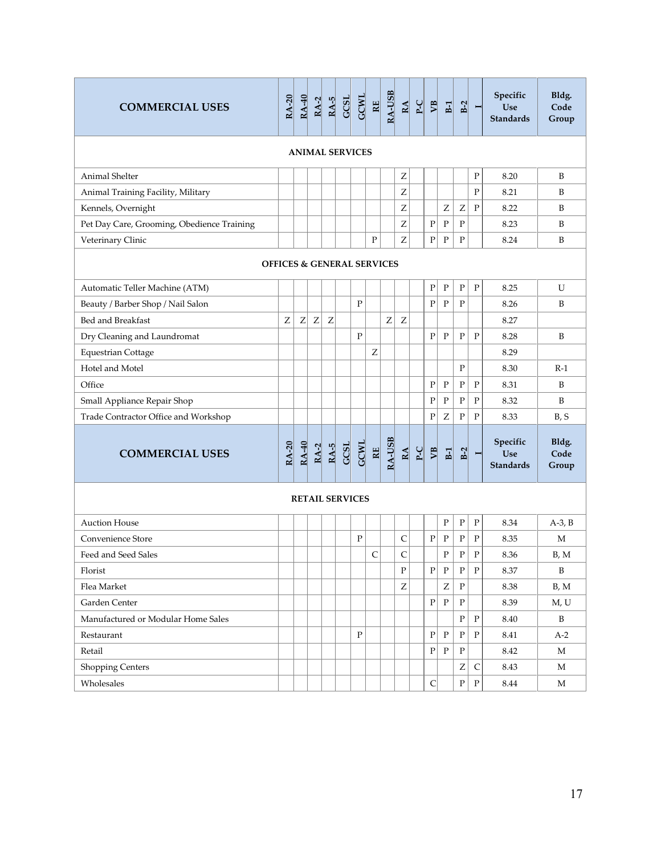| <b>COMMERCIAL USES</b>                     | <b>RA-20</b>                          | <b>RA-40</b> | $RA-2$ | $RA-5$ | GCSL                   | <b>GCWL</b>  | $\overline{\text{RE}}$ | RA-USB           | $\underline{\mathbf{RA}}$ | $P-C$ | $\mathbb{Z}$ | $B-1$        | $B-2$        | $\blacksquare$ | Specific<br>Use<br><b>Standards</b> | Bldg.<br>Code<br>Group |
|--------------------------------------------|---------------------------------------|--------------|--------|--------|------------------------|--------------|------------------------|------------------|---------------------------|-------|--------------|--------------|--------------|----------------|-------------------------------------|------------------------|
|                                            |                                       |              |        |        | <b>ANIMAL SERVICES</b> |              |                        |                  |                           |       |              |              |              |                |                                     |                        |
| Animal Shelter                             |                                       |              |        |        |                        |              |                        |                  | Ζ                         |       |              |              |              | ${\bf P}$      | 8.20                                | B                      |
| Animal Training Facility, Military         |                                       |              |        |        |                        |              |                        |                  | Z                         |       |              |              |              | ${\bf P}$      | 8.21                                | B                      |
| Kennels, Overnight                         |                                       |              |        |        |                        |              |                        |                  | Ζ                         |       |              | Z            | Ζ            | ${\bf P}$      | 8.22                                | B                      |
| Pet Day Care, Grooming, Obedience Training |                                       |              |        |        |                        |              |                        |                  | Z                         |       | $\mathbf P$  | $\mathbf P$  | ${\bf P}$    |                | 8.23                                | B                      |
| Veterinary Clinic                          |                                       |              |        |        |                        |              | $\mathbf{P}$           |                  | Z                         |       | ${\bf P}$    | ${\bf P}$    | ${\bf P}$    |                | 8.24                                | B                      |
|                                            | <b>OFFICES &amp; GENERAL SERVICES</b> |              |        |        |                        |              |                        |                  |                           |       |              |              |              |                |                                     |                        |
| Automatic Teller Machine (ATM)             |                                       |              |        |        |                        |              |                        |                  |                           |       | ${\bf P}$    | $\rm P$      | $\mathbf P$  | $\mathbf{P}$   | 8.25                                | U                      |
| Beauty / Barber Shop / Nail Salon          |                                       |              |        |        |                        | $\mathbf{P}$ |                        |                  |                           |       | $\mathbf{P}$ | $\mathbf{P}$ | $\mathbf{P}$ |                | 8.26                                | B                      |
| Bed and Breakfast                          | Ζ                                     | Z            | Z      | Z      |                        |              |                        | $\boldsymbol{Z}$ | Ζ                         |       |              |              |              |                | 8.27                                |                        |
| Dry Cleaning and Laundromat                |                                       |              |        |        |                        | $\mathbf{P}$ |                        |                  |                           |       | $\mathbf{P}$ | $\mathbf{P}$ | $\mathbf P$  | $\mathbf{P}$   | 8.28                                | B                      |
| <b>Equestrian Cottage</b>                  |                                       |              |        |        |                        |              | Z                      |                  |                           |       |              |              |              |                | 8.29                                |                        |
| Hotel and Motel                            |                                       |              |        |        |                        |              |                        |                  |                           |       |              |              | $\mathbf P$  |                | 8.30                                | $R-1$                  |
| Office                                     |                                       |              |        |        |                        |              |                        |                  |                           |       | ${\bf P}$    | ${\bf P}$    | $\mathbf P$  | ${\bf P}$      | 8.31                                | B                      |
| Small Appliance Repair Shop                |                                       |              |        |        |                        |              |                        |                  |                           |       | $\mathbf P$  | $\rm P$      | $\mathbf P$  | $\mathbf P$    | 8.32                                | B                      |
| Trade Contractor Office and Workshop       |                                       |              |        |        |                        |              |                        |                  |                           |       | ${\bf P}$    | Z            | ${\bf P}$    | ${\bf P}$      | 8.33                                | B, S                   |
| <b>COMMERCIAL USES</b>                     | <b>RA-20</b>                          | <b>RA-40</b> | $RA-2$ | $RA-5$ | GCSL                   | <b>GCWL</b>  | $R_{\rm E}$            | RA-USB           | $\underline{\mathbf{A}}$  | $P-C$ | $\mathbb{R}$ | $B-1$        | $B-2$        | $\blacksquare$ | Specific<br>Use<br><b>Standards</b> | Bldg.<br>Code<br>Group |
|                                            |                                       |              |        |        | <b>RETAIL SERVICES</b> |              |                        |                  |                           |       |              |              |              |                |                                     |                        |
| <b>Auction House</b>                       |                                       |              |        |        |                        |              |                        |                  |                           |       |              | $\rm P$      | $\mathbf P$  | ${\bf P}$      | 8.34                                | $A-3$ , $B$            |
| Convenience Store                          |                                       |              |        |        |                        | $\rm P$      |                        |                  | $\mathsf{C}$              |       | ${\bf P}$    | ${\bf P}$    | ${\bf P}$    | ${\bf P}$      | 8.35                                | M                      |
| Feed and Seed Sales                        |                                       |              |        |        |                        |              | $\overline{C}$         |                  | $\mathsf{C}$              |       |              | $\mathbf{P}$ | $\mathbf P$  | ${\bf P}$      | 8.36                                | B, M                   |
| Florist                                    |                                       |              |        |        |                        |              |                        |                  | ${\bf P}$                 |       | ${\bf P}$    | $\, {\bf P}$ | $\mathbf P$  | ${\bf P}$      | 8.37                                | B                      |
| Flea Market                                |                                       |              |        |        |                        |              |                        |                  | $\rm{Z}$                  |       |              | Z            | $\, {\bf P}$ |                | 8.38                                | B, M                   |
| Garden Center                              |                                       |              |        |        |                        |              |                        |                  |                           |       | $\mathbf{P}$ | ${\bf P}$    | $\, {\bf P}$ |                | 8.39                                | M, U                   |
| Manufactured or Modular Home Sales         |                                       |              |        |        |                        |              |                        |                  |                           |       |              |              | ${\bf P}$    | ${\bf P}$      | 8.40                                | $\, {\bf B}$           |
| Restaurant                                 |                                       |              |        |        |                        | $\mathbf{P}$ |                        |                  |                           |       | $\mathbf{P}$ | ${\bf P}$    | $\, {\bf P}$ | $\mathbf{P}$   | 8.41                                | $A-2$                  |
| Retail                                     |                                       |              |        |        |                        |              |                        |                  |                           |       | $\mathbf{P}$ | $\mathbf{P}$ | $\mathbf P$  |                | 8.42                                | M                      |
| Shopping Centers                           |                                       |              |        |        |                        |              |                        |                  |                           |       |              |              | Ζ            | $\mathsf{C}$   | 8.43                                | M                      |
| Wholesales                                 |                                       |              |        |        |                        |              |                        |                  |                           |       | $\mathsf{C}$ |              | $\mathbf{P}$ | ${\bf P}$      | 8.44                                | M                      |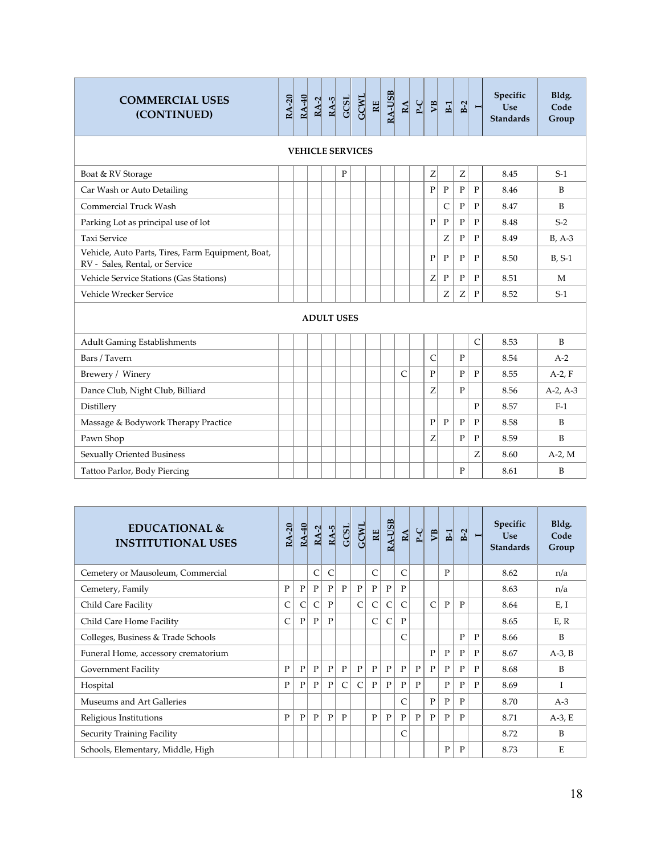| <b>COMMERCIAL USES</b><br>(CONTINUED)                                               | <b>RA-20</b> | <b>RA-40</b> | $RA-2$ | $RA-5$ | GCSL                    | <b>GCWL</b> | $\mathbb{E}$ | RA-USB | $\underline{\mathbf{A}}$ | $P-C$ | $\overline{M}$ | E1             | $B-2$        | $\blacksquare$ | Specific<br><b>Use</b><br><b>Standards</b> | Bldg.<br>Code<br>Group |
|-------------------------------------------------------------------------------------|--------------|--------------|--------|--------|-------------------------|-------------|--------------|--------|--------------------------|-------|----------------|----------------|--------------|----------------|--------------------------------------------|------------------------|
|                                                                                     |              |              |        |        | <b>VEHICLE SERVICES</b> |             |              |        |                          |       |                |                |              |                |                                            |                        |
| Boat & RV Storage                                                                   |              |              |        |        | $\mathbf{P}$            |             |              |        |                          |       | Z              |                | Z            |                | 8.45                                       | $S-1$                  |
| Car Wash or Auto Detailing                                                          |              |              |        |        |                         |             |              |        |                          |       | $\mathbf{P}$   | $\mathbf{P}$   | $\mathbf{P}$ | $\mathbf{P}$   | 8.46                                       | B                      |
| Commercial Truck Wash                                                               |              |              |        |        |                         |             |              |        |                          |       |                | $\overline{C}$ | $\mathbf{P}$ | $\mathbf{P}$   | 8.47                                       | $\overline{B}$         |
| Parking Lot as principal use of lot                                                 |              |              |        |        |                         |             |              |        |                          |       | $\mathbf{P}$   | ${\bf P}$      | $\mathbf{P}$ | $\mathbf{P}$   | 8.48                                       | $S-2$                  |
| <b>Taxi Service</b>                                                                 |              |              |        |        |                         |             |              |        |                          |       |                | Z              | $\mathbf{P}$ | $\mathbf{P}$   | 8.49                                       | $B, A-3$               |
| Vehicle, Auto Parts, Tires, Farm Equipment, Boat,<br>RV - Sales, Rental, or Service |              |              |        |        |                         |             |              |        |                          |       | $\mathbf{P}$   | $\mathbf{P}$   | $\mathbf{P}$ | $\mathbf{P}$   | 8.50                                       | $B, S-1$               |
| Vehicle Service Stations (Gas Stations)                                             |              |              |        |        |                         |             |              |        |                          |       | Ζ              | ${\bf P}$      | ${\bf P}$    | $\mathbf{P}$   | 8.51                                       | M                      |
| Vehicle Wrecker Service                                                             |              |              |        |        |                         |             |              |        |                          |       |                | Ζ              | Ζ            | $\mathbf{P}$   | 8.52                                       | $S-1$                  |
|                                                                                     |              |              |        |        | <b>ADULT USES</b>       |             |              |        |                          |       |                |                |              |                |                                            |                        |
| <b>Adult Gaming Establishments</b>                                                  |              |              |        |        |                         |             |              |        |                          |       |                |                |              | $\mathsf{C}$   | 8.53                                       | $\overline{B}$         |
| Bars / Tavern                                                                       |              |              |        |        |                         |             |              |        |                          |       | C              |                | $\mathbf{P}$ |                | 8.54                                       | $A-2$                  |
| Brewery / Winery                                                                    |              |              |        |        |                         |             |              |        | $\mathsf{C}$             |       | $\mathbf{P}$   |                | $\mathbf{P}$ | $\mathbf{P}$   | 8.55                                       | $A-2$ , F              |
| Dance Club, Night Club, Billiard                                                    |              |              |        |        |                         |             |              |        |                          |       | Z              |                | $\mathbf{P}$ |                | 8.56                                       | $A-2, A-3$             |
| Distillery                                                                          |              |              |        |        |                         |             |              |        |                          |       |                |                |              | $\mathbf{P}$   | 8.57                                       | $F-1$                  |
| Massage & Bodywork Therapy Practice                                                 |              |              |        |        |                         |             |              |        |                          |       | $\mathbf{P}$   | $\mathbf{P}$   | $\mathbf{P}$ | $\mathbf{P}$   | 8.58                                       | B                      |
| Pawn Shop                                                                           |              |              |        |        |                         |             |              |        |                          |       | Z              |                | $\mathbf{P}$ | $\mathbf{P}$   | 8.59                                       | $\overline{B}$         |
| Sexually Oriented Business                                                          |              |              |        |        |                         |             |              |        |                          |       |                |                |              | Z              | 8.60                                       | $A-2$ , M              |
| Tattoo Parlor, Body Piercing                                                        |              |              |        |        |                         |             |              |        |                          |       |                |                | $\mathbf{P}$ |                | 8.61                                       | B                      |

| EDUCATIONAL &<br><b>INSTITUTIONAL USES</b> | RA-20        | RA-40        | $RA-2$       | $RA-5$       | GCSL         | <b>GCWL</b>  | 即            | <b>RA-USB</b> | $\underline{\mathbf{RA}}$ | $P_{-}C$ | <b>SP</b>    | E1           | $B-2$        | $\blacksquare$ | Specific<br><b>Use</b><br><b>Standards</b> | Bldg.<br>Code<br>Group |
|--------------------------------------------|--------------|--------------|--------------|--------------|--------------|--------------|--------------|---------------|---------------------------|----------|--------------|--------------|--------------|----------------|--------------------------------------------|------------------------|
| Cemetery or Mausoleum, Commercial          |              |              | Ċ            | C            |              |              | C            |               | $\mathsf{C}$              |          |              | $\mathbf{P}$ |              |                | 8.62                                       | n/a                    |
| Cemetery, Family                           | $\mathbf{P}$ | $\mathbf{P}$ | $\mathbf{P}$ | $\mathbf{P}$ | $\mathbf{P}$ | $\mathbf{P}$ | $\mathbf{P}$ | P             | $\mathbf{P}$              |          |              |              |              |                | 8.63                                       | n/a                    |
| Child Care Facility                        | C            | C            | Ċ            | $\mathbf{P}$ |              | $\mathsf{C}$ | C            | C             | C                         |          | $\mathsf{C}$ | $\mathbf{P}$ | P            |                | 8.64                                       | E, I                   |
| Child Care Home Facility                   | C            | P            | $\mathbf{P}$ | $\mathbf{P}$ |              |              | C            | C             | P                         |          |              |              |              |                | 8.65                                       | E, R                   |
| Colleges, Business & Trade Schools         |              |              |              |              |              |              |              |               | C                         |          |              |              | P            | P              | 8.66                                       | B                      |
| Funeral Home, accessory crematorium        |              |              |              |              |              |              |              |               |                           |          | $\mathbf{P}$ | $\mathbf{P}$ | $\mathbf{P}$ | P              | 8.67                                       | $A-3$ , $B$            |
| Government Facility                        | $\mathbf{P}$ | $\mathbf{P}$ | $\mathbf{P}$ | $\mathbf{P}$ | $\mathbf{P}$ | $\mathbf{P}$ | P            | P             | P                         | P        | $\mathbf{P}$ | $\mathbf{P}$ | $\mathbf{P}$ | $\mathbf{P}$   | 8.68                                       | B                      |
| Hospital                                   | P            | $\mathbf{P}$ | $\mathbf{P}$ | $\mathbf{P}$ | $\mathsf{C}$ | $\mathsf{C}$ | P            | P             | P                         | P        |              | $\mathbf{P}$ | P            | P              | 8.69                                       |                        |
| Museums and Art Galleries                  |              |              |              |              |              |              |              |               | C                         |          | $\mathbf{P}$ | $\mathbf{P}$ | P            |                | 8.70                                       | $A-3$                  |
| Religious Institutions                     | P            | P            | $\mathbf{P}$ | P            | P            |              | P            | P             | P                         | P        | P            | P            | P            |                | 8.71                                       | $A-3$ , E              |
| Security Training Facility                 |              |              |              |              |              |              |              |               | $\mathsf{C}$              |          |              |              |              |                | 8.72                                       | B                      |
| Schools, Elementary, Middle, High          |              |              |              |              |              |              |              |               |                           |          |              | $\mathbf{P}$ | P            |                | 8.73                                       | E                      |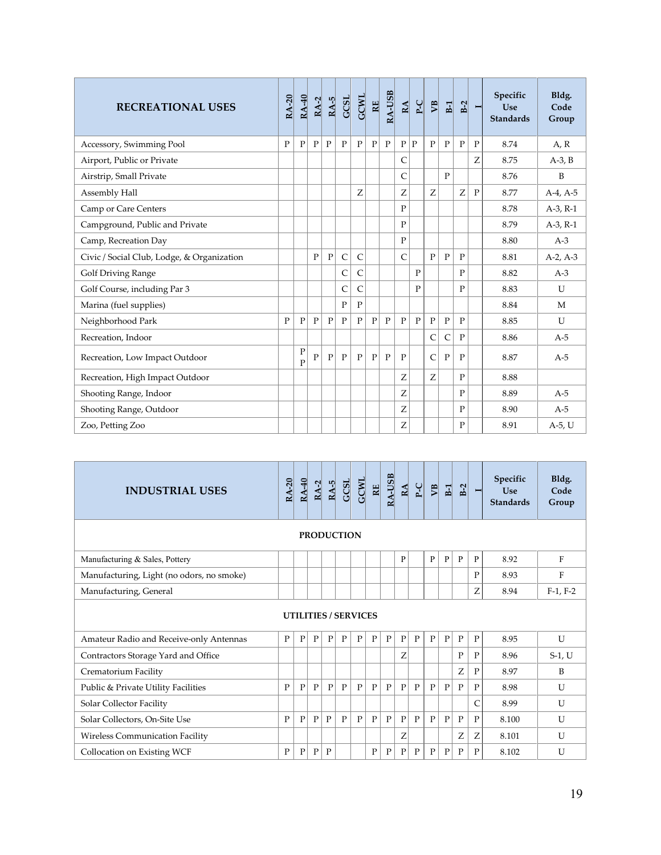| <b>RECREATIONAL USES</b>                   | <b>RA-20</b> | RA-40                     | $RA-2$       | $RA-5$       | <b>GCSL</b>  | <b>GCWL</b>  | <b>RE</b>    | <b>RA-USB</b> | $\underline{\mathbf{A}}$ | $P-C$        | $\mathbb{E}$ | $\mathbf{E}$ | $B-2$        | Ī            | Specific<br>Use<br><b>Standards</b> | Bldg.<br>Code<br>Group |
|--------------------------------------------|--------------|---------------------------|--------------|--------------|--------------|--------------|--------------|---------------|--------------------------|--------------|--------------|--------------|--------------|--------------|-------------------------------------|------------------------|
| Accessory, Swimming Pool                   | $\mathbf{P}$ | $\mathbf P$               | $\mathbf{P}$ | $\mathbf{P}$ | $\mathbf{P}$ | $\mathbf{P}$ | $\mathbf{P}$ | $\mathbf{P}$  | P                        | $\mathbf{P}$ | $\mathbf{P}$ | $\mathbf{P}$ | $\mathbf{P}$ | P            | 8.74                                | A, R                   |
| Airport, Public or Private                 |              |                           |              |              |              |              |              |               | C                        |              |              |              |              | Z            | 8.75                                | $A-3$ , $B$            |
| Airstrip, Small Private                    |              |                           |              |              |              |              |              |               | $\mathsf{C}$             |              |              | $\mathbf{P}$ |              |              | 8.76                                | B                      |
| Assembly Hall                              |              |                           |              |              |              | Z            |              |               | Ζ                        |              | Z            |              | Z            | $\mathbf{P}$ | 8.77                                | $A-4, A-5$             |
| Camp or Care Centers                       |              |                           |              |              |              |              |              |               | $\mathbf{P}$             |              |              |              |              |              | 8.78                                | $A-3$ , $R-1$          |
| Campground, Public and Private             |              |                           |              |              |              |              |              |               | P                        |              |              |              |              |              | 8.79                                | $A-3$ , $R-1$          |
| Camp, Recreation Day                       |              |                           |              |              |              |              |              |               | $\mathbf{P}$             |              |              |              |              |              | 8.80                                | $A-3$                  |
| Civic / Social Club, Lodge, & Organization |              |                           | $\mathbf{P}$ | $\mathbf{P}$ | $\mathsf{C}$ | $\mathsf{C}$ |              |               | $\mathsf{C}$             |              | $\mathbf{P}$ | $\mathbf{P}$ | $\mathbf{P}$ |              | 8.81                                | $A-2, A-3$             |
| <b>Golf Driving Range</b>                  |              |                           |              |              | C            | $\mathsf{C}$ |              |               |                          | $\mathbf{P}$ |              |              | $\mathbf{P}$ |              | 8.82                                | $A-3$                  |
| Golf Course, including Par 3               |              |                           |              |              | $\mathsf{C}$ | $\mathsf{C}$ |              |               |                          | $\mathbf{P}$ |              |              | $\mathbf{P}$ |              | 8.83                                | $\mathbf{U}$           |
| Marina (fuel supplies)                     |              |                           |              |              | $\mathbf{P}$ | $\mathbf{P}$ |              |               |                          |              |              |              |              |              | 8.84                                | M                      |
| Neighborhood Park                          | $\mathbf{P}$ | $\mathbf P$               | $\mathbf{P}$ | $\mathbf{P}$ | $\mathbf{P}$ | $\mathbf{P}$ | P            | $\mathbf{P}$  | $\mathbf{P}$             | $\mathbf{P}$ | $\mathbf{P}$ | $\mathbf{P}$ | $\mathbf{P}$ |              | 8.85                                | U                      |
| Recreation, Indoor                         |              |                           |              |              |              |              |              |               |                          |              | $\mathsf{C}$ | C            | $\mathbf{P}$ |              | 8.86                                | $A-5$                  |
| Recreation, Low Impact Outdoor             |              | ${\bf P}$<br>$\mathbf{P}$ | $\mathbf{P}$ | $\mathbf{P}$ | $\mathbf{P}$ | $\mathbf{P}$ | $\mathbf{P}$ | $\mathbf{P}$  | $\mathbf{P}$             |              | $\mathsf{C}$ | $\mathbf{P}$ | P            |              | 8.87                                | $A-5$                  |
| Recreation, High Impact Outdoor            |              |                           |              |              |              |              |              |               | Z                        |              | Z            |              | $\mathbf{P}$ |              | 8.88                                |                        |
| Shooting Range, Indoor                     |              |                           |              |              |              |              |              |               | Z                        |              |              |              | $\mathbf{P}$ |              | 8.89                                | $A-5$                  |
| Shooting Range, Outdoor                    |              |                           |              |              |              |              |              |               | Z                        |              |              |              | $\mathbf{P}$ |              | 8.90                                | $A-5$                  |
| Zoo, Petting Zoo                           |              |                           |              |              |              |              |              |               | Ζ                        |              |              |              | $\mathbf{P}$ |              | 8.91                                | A-5, U                 |

| <b>INDUSTRIAL USES</b>                    | <b>RA-20</b> | <b>RA-40</b> | $RA-2$       | $RA-5$       | GCSL                        | <b>GCWL</b>  | 떼            | RA-USB | $R\underline{A}$ | $P-C$ | V <sub>B</sub> | $E_1$        | $B-2$        | Ī | Specific<br><b>Use</b><br><b>Standards</b> | Bldg.<br>Code<br>Group |
|-------------------------------------------|--------------|--------------|--------------|--------------|-----------------------------|--------------|--------------|--------|------------------|-------|----------------|--------------|--------------|---|--------------------------------------------|------------------------|
|                                           |              |              |              |              | <b>PRODUCTION</b>           |              |              |        |                  |       |                |              |              |   |                                            |                        |
| Manufacturing & Sales, Pottery            |              |              |              |              |                             |              |              |        | P                |       | P              | P            | P            | P | 8.92                                       | F                      |
| Manufacturing, Light (no odors, no smoke) |              |              |              |              |                             |              |              |        |                  |       |                |              |              | P | 8.93                                       | F                      |
| Manufacturing, General                    |              |              |              |              |                             |              |              |        |                  |       |                |              |              | Z | 8.94                                       | $F-1, F-2$             |
|                                           |              |              |              |              | <b>UTILITIES / SERVICES</b> |              |              |        |                  |       |                |              |              |   |                                            |                        |
| Amateur Radio and Receive-only Antennas   | P            | $\mathbf{P}$ | $\mathbf{P}$ | $\mathbf{P}$ | $\mathbf{P}$                | P            | P            | P      | P                | P     | $\mathbf{P}$   | $\mathbf{P}$ | $\mathbf{P}$ | P | 8.95                                       | $\mathbf{U}$           |
| Contractors Storage Yard and Office       |              |              |              |              |                             |              |              |        | Ζ                |       |                |              | $\mathbf{P}$ | P | 8.96                                       | $S-1$ , U              |
| Crematorium Facility                      |              |              |              |              |                             |              |              |        |                  |       |                |              | Z            | P | 8.97                                       | B                      |
| Public & Private Utility Facilities       | $\mathbf{P}$ | $\mathbf{P}$ | $\mathbf{P}$ | $\mathbf{P}$ | $\mathbf{P}$                | $\mathbf{P}$ | $\mathbf{P}$ | P      | P                | P     | $\mathbf{P}$   | $\mathbf{P}$ | $\mathbf{P}$ | P | 8.98                                       | $\mathbf{U}$           |
| Solar Collector Facility                  |              |              |              |              |                             |              |              |        |                  |       |                |              |              | C | 8.99                                       | U                      |
| Solar Collectors, On-Site Use             | $\mathbf{P}$ | $\mathbf{P}$ | $\mathbf{P}$ | $\mathbf{P}$ | $\mathbf{P}$                | $\mathbf{P}$ | P            | P      | P                | P     | $\mathbf{P}$   | $\mathbf{P}$ | $\mathbf{P}$ | P | 8.100                                      | U                      |
| <b>Wireless Communication Facility</b>    |              |              |              |              |                             |              |              |        | Ζ                |       |                |              | Ζ            | Ζ | 8.101                                      | U                      |
| Collocation on Existing WCF               | P            | P            | $\mathbf{P}$ | P            |                             |              | $\mathbf{P}$ | P      | P                | P     | P              | P            | P            | P | 8.102                                      | U                      |